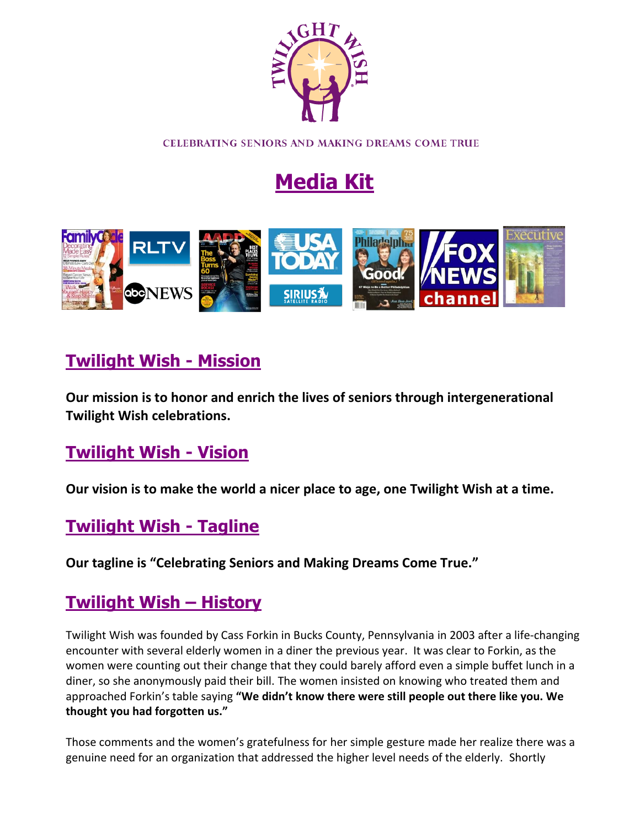

CELEBRATING SENIORS AND MAKING DREAMS COME TRUE

# **Media Kit**



# **Twilight Wish - Mission**

**Our mission is to honor and enrich the lives of seniors through intergenerational Twilight Wish celebrations.**

# **Twilight Wish - Vision**

**Our vision is to make the world a nicer place to age, one Twilight Wish at a time.**

# **Twilight Wish - Tagline**

**Our tagline is "Celebrating Seniors and Making Dreams Come True."**

# **Twilight Wish – History**

Twilight Wish was founded by Cass Forkin in Bucks County, Pennsylvania in 2003 after a life-changing encounter with several elderly women in a diner the previous year. It was clear to Forkin, as the women were counting out their change that they could barely afford even a simple buffet lunch in a diner, so she anonymously paid their bill. The women insisted on knowing who treated them and approached Forkin's table saying **"We didn't know there were still people out there like you. We thought you had forgotten us."**

Those comments and the women's gratefulness for her simple gesture made her realize there was a genuine need for an organization that addressed the higher level needs of the elderly. Shortly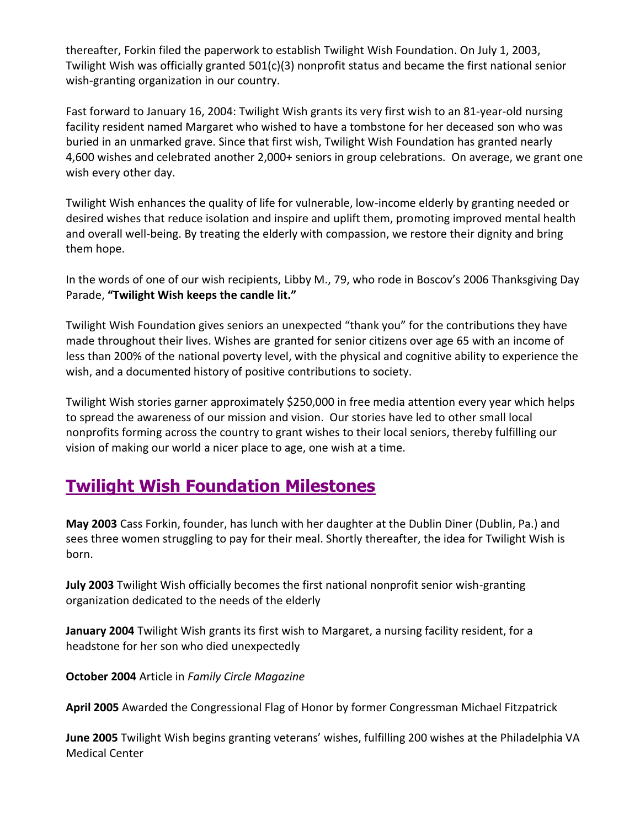thereafter, Forkin filed the paperwork to establish Twilight Wish Foundation. On July 1, 2003, Twilight Wish was officially granted 501(c)(3) nonprofit status and became the first national senior wish-granting organization in our country.

Fast forward to January 16, 2004: Twilight Wish grants its very first wish to an 81-year-old nursing facility resident named Margaret who wished to have a tombstone for her deceased son who was buried in an unmarked grave. Since that first wish, Twilight Wish Foundation has granted nearly 4,600 wishes and celebrated another 2,000+ seniors in group celebrations. On average, we grant one wish every other day.

Twilight Wish enhances the quality of life for vulnerable, low-income elderly by granting needed or desired wishes that reduce isolation and inspire and uplift them, promoting improved mental health and overall well-being. By treating the elderly with compassion, we restore their dignity and bring them hope.

In the words of one of our wish recipients, Libby M., 79, who rode in Boscov's 2006 Thanksgiving Day Parade, **"Twilight Wish keeps the candle lit."**

Twilight Wish Foundation gives seniors an unexpected "thank you" for the contributions they have made throughout their lives. Wishes are granted for senior citizens over age 65 with an income of less than 200% of the national poverty level, with the physical and cognitive ability to experience the wish, and a documented history of positive contributions to society.

Twilight Wish stories garner approximately \$250,000 in free media attention every year which helps to spread the awareness of our mission and vision. Our stories have led to other small local nonprofits forming across the country to grant wishes to their local seniors, thereby fulfilling our vision of making our world a nicer place to age, one wish at a time.

# **Twilight Wish Foundation Milestones**

**May 2003** Cass Forkin, founder, has lunch with her daughter at the Dublin Diner (Dublin, Pa.) and sees three women struggling to pay for their meal. Shortly thereafter, the idea for Twilight Wish is born.

**July 2003** Twilight Wish officially becomes the first national nonprofit senior wish-granting organization dedicated to the needs of the elderly

**January 2004** Twilight Wish grants its first wish to Margaret, a nursing facility resident, for a headstone for her son who died unexpectedly

**October 2004** Article in *Family Circle Magazine*

**April 2005** Awarded the Congressional Flag of Honor by former Congressman Michael Fitzpatrick

**June 2005** Twilight Wish begins granting veterans' wishes, fulfilling 200 wishes at the Philadelphia VA Medical Center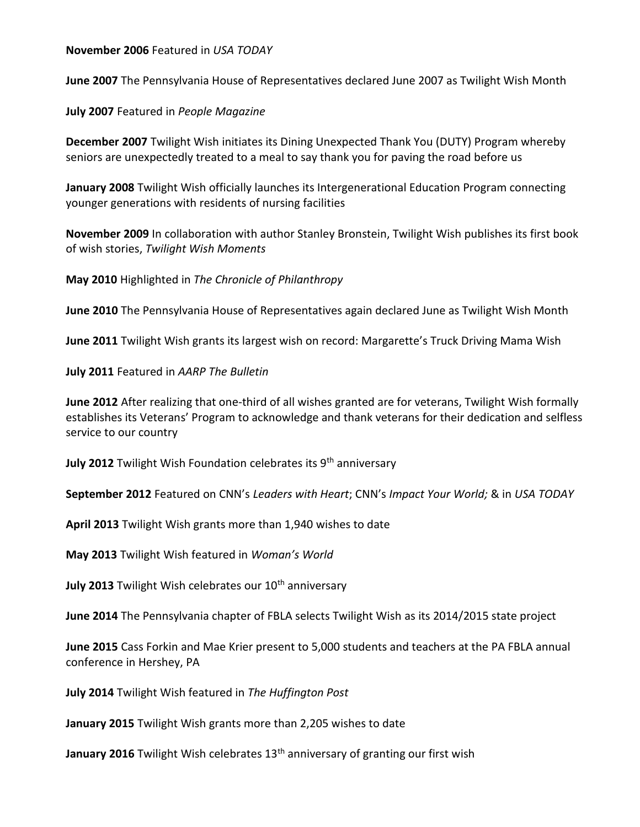**November 2006** Featured in *USA TODAY*

**June 2007** The Pennsylvania House of Representatives declared June 2007 as Twilight Wish Month

**July 2007** Featured in *People Magazine*

**December 2007** Twilight Wish initiates its Dining Unexpected Thank You (DUTY) Program whereby seniors are unexpectedly treated to a meal to say thank you for paving the road before us

**January 2008** Twilight Wish officially launches its Intergenerational Education Program connecting younger generations with residents of nursing facilities

**November 2009** In collaboration with author Stanley Bronstein, Twilight Wish publishes its first book of wish stories, *Twilight Wish Moments*

**May 2010** Highlighted in *The Chronicle of Philanthropy*

**June 2010** The Pennsylvania House of Representatives again declared June as Twilight Wish Month

**June 2011** Twilight Wish grants its largest wish on record: Margarette's Truck Driving Mama Wish

**July 2011** Featured in *AARP The Bulletin*

**June 2012** After realizing that one-third of all wishes granted are for veterans, Twilight Wish formally establishes its Veterans' Program to acknowledge and thank veterans for their dedication and selfless service to our country

**July 2012** Twilight Wish Foundation celebrates its 9<sup>th</sup> anniversary

**September 2012** Featured on CNN's *Leaders with Heart*; CNN's *Impact Your World;* & in *USA TODAY*

**April 2013** Twilight Wish grants more than 1,940 wishes to date

**May 2013** Twilight Wish featured in *Woman's World*

**July 2013** Twilight Wish celebrates our 10<sup>th</sup> anniversary

**June 2014** The Pennsylvania chapter of FBLA selects Twilight Wish as its 2014/2015 state project

**June 2015** Cass Forkin and Mae Krier present to 5,000 students and teachers at the PA FBLA annual conference in Hershey, PA

**July 2014** Twilight Wish featured in *The Huffington Post*

**January 2015** Twilight Wish grants more than 2,205 wishes to date

**January 2016** Twilight Wish celebrates 13<sup>th</sup> anniversary of granting our first wish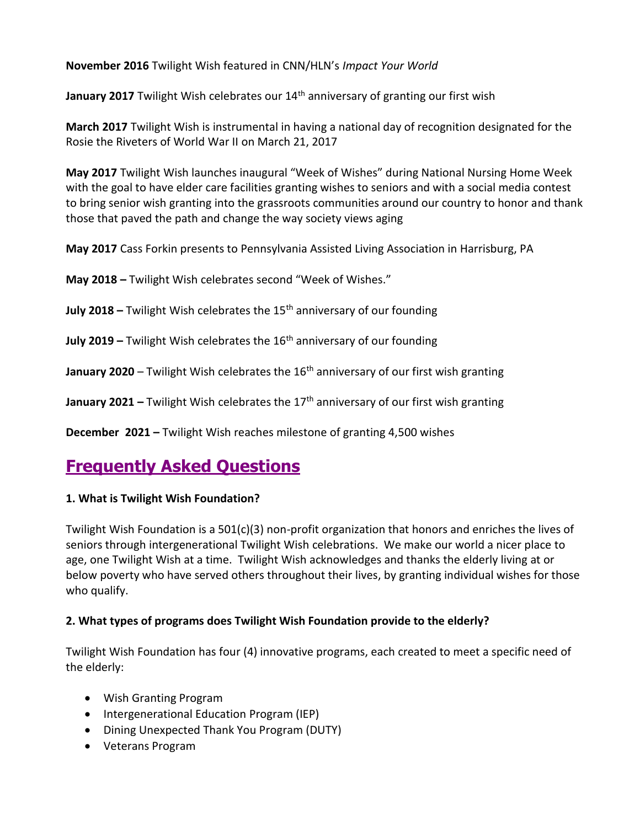**November 2016** Twilight Wish featured in CNN/HLN's *Impact Your World*

January 2017 Twilight Wish celebrates our 14<sup>th</sup> anniversary of granting our first wish

**March 2017** Twilight Wish is instrumental in having a national day of recognition designated for the Rosie the Riveters of World War II on March 21, 2017

**May 2017** Twilight Wish launches inaugural "Week of Wishes" during National Nursing Home Week with the goal to have elder care facilities granting wishes to seniors and with a social media contest to bring senior wish granting into the grassroots communities around our country to honor and thank those that paved the path and change the way society views aging

**May 2017** Cass Forkin presents to Pennsylvania Assisted Living Association in Harrisburg, PA

**May 2018 –** Twilight Wish celebrates second "Week of Wishes."

**July 2018 –** Twilight Wish celebrates the 15<sup>th</sup> anniversary of our founding

**July 2019 –** Twilight Wish celebrates the 16th anniversary of our founding

**January 2020** – Twilight Wish celebrates the 16<sup>th</sup> anniversary of our first wish granting

**January 2021 –** Twilight Wish celebrates the 17<sup>th</sup> anniversary of our first wish granting

**December 2021 –** Twilight Wish reaches milestone of granting 4,500 wishes

# **Frequently Asked Questions**

### **1. What is Twilight Wish Foundation?**

Twilight Wish Foundation is a 501(c)(3) non-profit organization that honors and enriches the lives of seniors through intergenerational Twilight Wish celebrations. We make our world a nicer place to age, one Twilight Wish at a time. Twilight Wish acknowledges and thanks the elderly living at or below poverty who have served others throughout their lives, by granting individual wishes for those who qualify.

# **2. What types of programs does Twilight Wish Foundation provide to the elderly?**

Twilight Wish Foundation has four (4) innovative programs, each created to meet a specific need of the elderly:

- Wish Granting Program
- Intergenerational Education Program (IEP)
- Dining Unexpected Thank You Program (DUTY)
- Veterans Program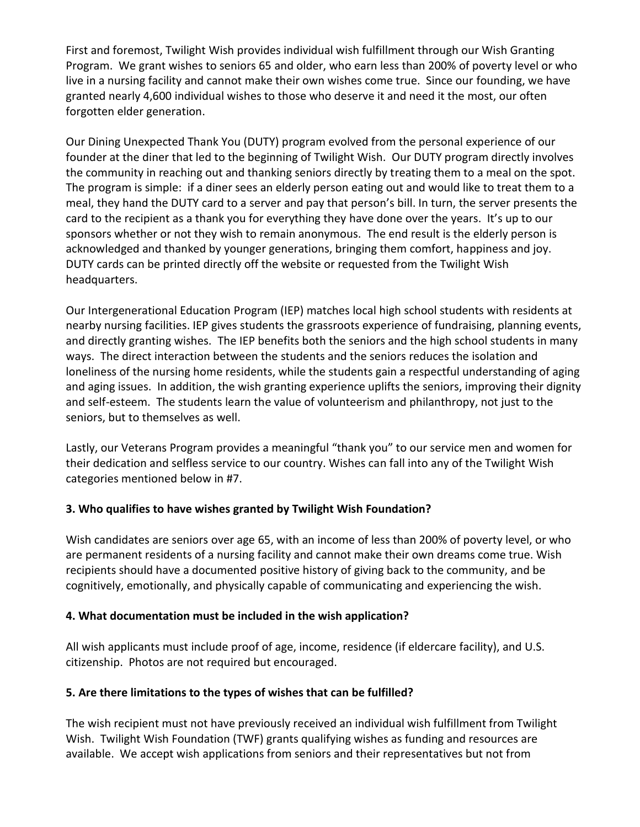First and foremost, Twilight Wish provides individual wish fulfillment through our Wish Granting Program. We grant wishes to seniors 65 and older, who earn less than 200% of poverty level or who live in a nursing facility and cannot make their own wishes come true. Since our founding, we have granted nearly 4,600 individual wishes to those who deserve it and need it the most, our often forgotten elder generation.

Our Dining Unexpected Thank You (DUTY) program evolved from the personal experience of our founder at the diner that led to the beginning of Twilight Wish. Our DUTY program directly involves the community in reaching out and thanking seniors directly by treating them to a meal on the spot. The program is simple: if a diner sees an elderly person eating out and would like to treat them to a meal, they hand the DUTY card to a server and pay that person's bill. In turn, the server presents the card to the recipient as a thank you for everything they have done over the years. It's up to our sponsors whether or not they wish to remain anonymous. The end result is the elderly person is acknowledged and thanked by younger generations, bringing them comfort, happiness and joy. DUTY cards can be printed directly off the website or requested from the Twilight Wish headquarters.

Our Intergenerational Education Program (IEP) matches local high school students with residents at nearby nursing facilities. IEP gives students the grassroots experience of fundraising, planning events, and directly granting wishes. The IEP benefits both the seniors and the high school students in many ways. The direct interaction between the students and the seniors reduces the isolation and loneliness of the nursing home residents, while the students gain a respectful understanding of aging and aging issues. In addition, the wish granting experience uplifts the seniors, improving their dignity and self-esteem. The students learn the value of volunteerism and philanthropy, not just to the seniors, but to themselves as well.

Lastly, our Veterans Program provides a meaningful "thank you" to our service men and women for their dedication and selfless service to our country. Wishes can fall into any of the Twilight Wish categories mentioned below in #7.

### **3. Who qualifies to have wishes granted by Twilight Wish Foundation?**

Wish candidates are seniors over age 65, with an income of less than 200% of poverty level, or who are permanent residents of a nursing facility and cannot make their own dreams come true. Wish recipients should have a documented positive history of giving back to the community, and be cognitively, emotionally, and physically capable of communicating and experiencing the wish.

### **4. What documentation must be included in the wish application?**

All wish applicants must include proof of age, income, residence (if eldercare facility), and U.S. citizenship. Photos are not required but encouraged.

### **5. Are there limitations to the types of wishes that can be fulfilled?**

The wish recipient must not have previously received an individual wish fulfillment from Twilight Wish. Twilight Wish Foundation (TWF) grants qualifying wishes as funding and resources are available. We accept wish applications from seniors and their representatives but not from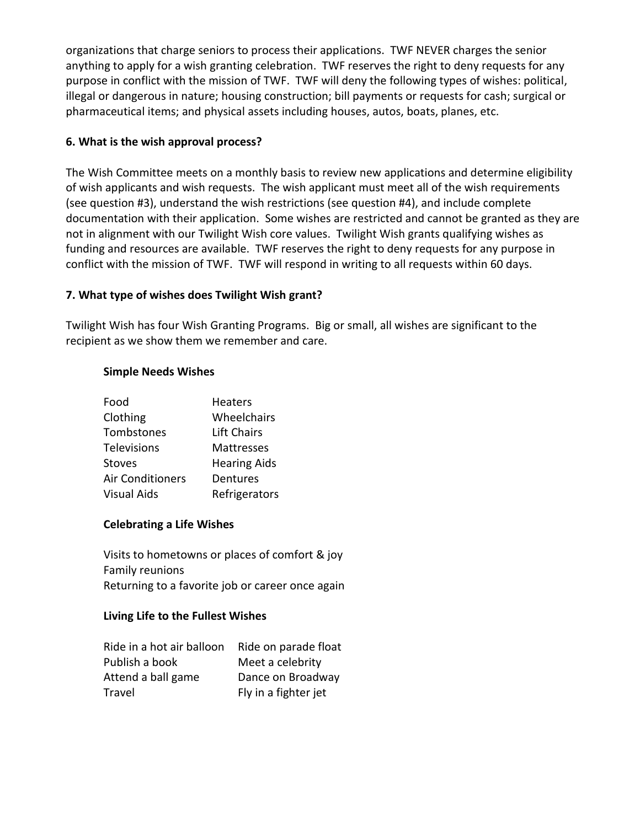organizations that charge seniors to process their applications. TWF NEVER charges the senior anything to apply for a wish granting celebration. TWF reserves the right to deny requests for any purpose in conflict with the mission of TWF. TWF will deny the following types of wishes: political, illegal or dangerous in nature; housing construction; bill payments or requests for cash; surgical or pharmaceutical items; and physical assets including houses, autos, boats, planes, etc.

### **6. What is the wish approval process?**

The Wish Committee meets on a monthly basis to review new applications and determine eligibility of wish applicants and wish requests. The wish applicant must meet all of the wish requirements (see question #3), understand the wish restrictions (see question #4), and include complete documentation with their application. Some wishes are restricted and cannot be granted as they are not in alignment with our Twilight Wish core values. Twilight Wish grants qualifying wishes as funding and resources are available. TWF reserves the right to deny requests for any purpose in conflict with the mission of TWF. TWF will respond in writing to all requests within 60 days.

### **7. What type of wishes does Twilight Wish grant?**

Twilight Wish has four Wish Granting Programs. Big or small, all wishes are significant to the recipient as we show them we remember and care.

### **Simple Needs Wishes**

| Food                    | <b>Heaters</b>      |
|-------------------------|---------------------|
| Clothing                | Wheelchairs         |
| Tombstones              | Lift Chairs         |
| <b>Televisions</b>      | <b>Mattresses</b>   |
| <b>Stoves</b>           | <b>Hearing Aids</b> |
| <b>Air Conditioners</b> | Dentures            |
| <b>Visual Aids</b>      | Refrigerators       |

### **Celebrating a Life Wishes**

Visits to hometowns or places of comfort & joy Family reunions Returning to a favorite job or career once again

### **Living Life to the Fullest Wishes**

| Ride in a hot air balloon | Ride on parade float |
|---------------------------|----------------------|
| Publish a book            | Meet a celebrity     |
| Attend a ball game        | Dance on Broadway    |
| Travel                    | Fly in a fighter jet |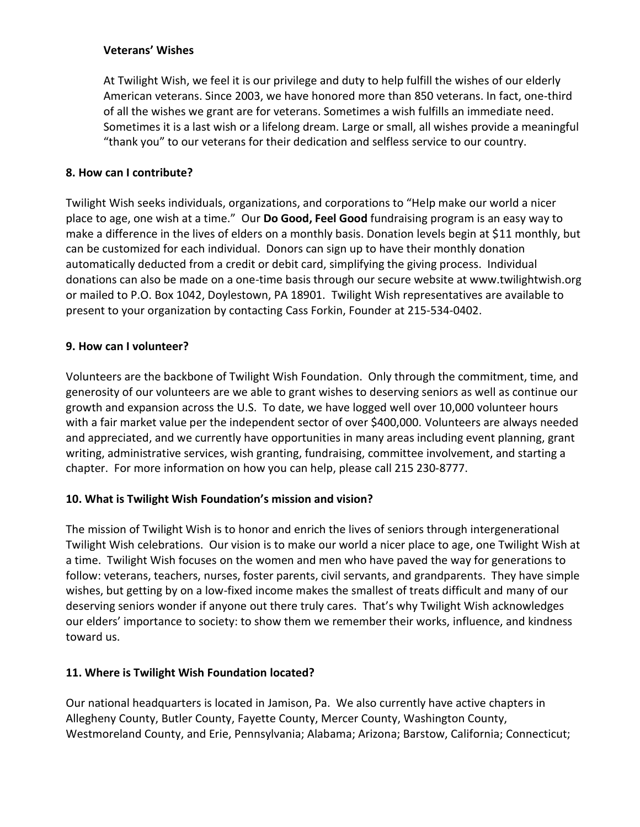#### **Veterans' Wishes**

At Twilight Wish, we feel it is our privilege and duty to help fulfill the wishes of our elderly American veterans. Since 2003, we have honored more than 850 veterans. In fact, one-third of all the wishes we grant are for veterans. Sometimes a wish fulfills an immediate need. Sometimes it is a last wish or a lifelong dream. Large or small, all wishes provide a meaningful "thank you" to our veterans for their dedication and selfless service to our country.

#### **8. How can I contribute?**

Twilight Wish seeks individuals, organizations, and corporations to "Help make our world a nicer place to age, one wish at a time." Our **Do Good, Feel Good** fundraising program is an easy way to make a difference in the lives of elders on a monthly basis. Donation levels begin at \$11 monthly, but can be customized for each individual. Donors can sign up to have their monthly donation automatically deducted from a credit or debit card, simplifying the giving process. Individual donations can also be made on a one-time basis through our secure website at www.twilightwish.org or mailed to P.O. Box 1042, Doylestown, PA 18901. Twilight Wish representatives are available to present to your organization by contacting Cass Forkin, Founder at 215-534-0402.

#### **9. How can I volunteer?**

Volunteers are the backbone of Twilight Wish Foundation. Only through the commitment, time, and generosity of our volunteers are we able to grant wishes to deserving seniors as well as continue our growth and expansion across the U.S. To date, we have logged well over 10,000 volunteer hours with a fair market value per the independent sector of over \$400,000. Volunteers are always needed and appreciated, and we currently have opportunities in many areas including event planning, grant writing, administrative services, wish granting, fundraising, committee involvement, and starting a chapter. For more information on how you can help, please call 215 230-8777.

### **10. What is Twilight Wish Foundation's mission and vision?**

The mission of Twilight Wish is to honor and enrich the lives of seniors through intergenerational Twilight Wish celebrations. Our vision is to make our world a nicer place to age, one Twilight Wish at a time. Twilight Wish focuses on the women and men who have paved the way for generations to follow: veterans, teachers, nurses, foster parents, civil servants, and grandparents. They have simple wishes, but getting by on a low-fixed income makes the smallest of treats difficult and many of our deserving seniors wonder if anyone out there truly cares. That's why Twilight Wish acknowledges our elders' importance to society: to show them we remember their works, influence, and kindness toward us.

### **11. Where is Twilight Wish Foundation located?**

Our national headquarters is located in Jamison, Pa. We also currently have active chapters in Allegheny County, Butler County, Fayette County, Mercer County, Washington County, Westmoreland County, and Erie, Pennsylvania; Alabama; Arizona; Barstow, California; Connecticut;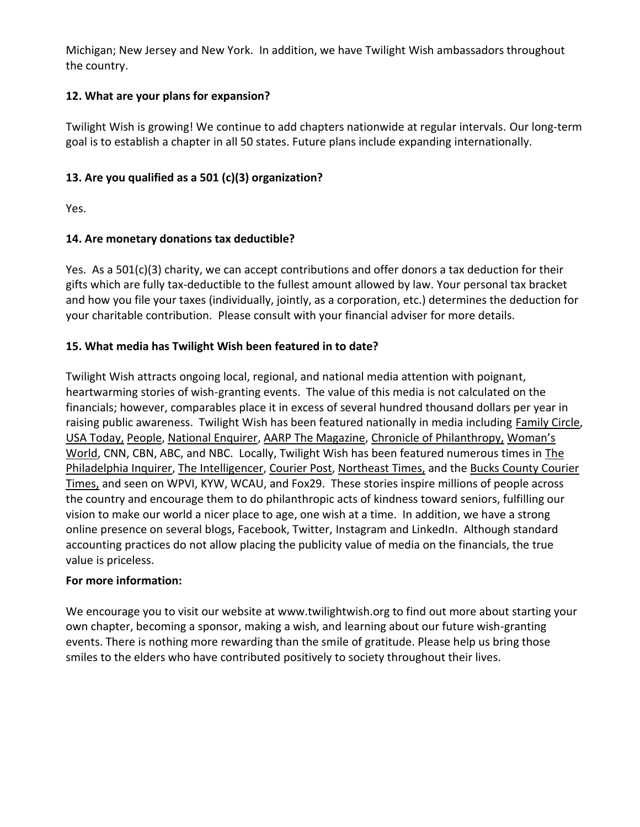Michigan; New Jersey and New York. In addition, we have Twilight Wish ambassadors throughout the country.

### **12. What are your plans for expansion?**

Twilight Wish is growing! We continue to add chapters nationwide at regular intervals. Our long-term goal is to establish a chapter in all 50 states. Future plans include expanding internationally.

# **13. Are you qualified as a 501 (c)(3) organization?**

Yes.

# **14. Are monetary donations tax deductible?**

Yes. As a 501(c)(3) charity, we can accept contributions and offer donors a tax deduction for their gifts which are fully tax-deductible to the fullest amount allowed by law. Your personal tax bracket and how you file your taxes (individually, jointly, as a corporation, etc.) determines the deduction for your charitable contribution. Please consult with your financial adviser for more details.

### **15. What media has Twilight Wish been featured in to date?**

Twilight Wish attracts ongoing local, regional, and national media attention with poignant, heartwarming stories of wish-granting events. The value of this media is not calculated on the financials; however, comparables place it in excess of several hundred thousand dollars per year in raising public awareness. Twilight Wish has been featured nationally in media including Family Circle, USA Today, People, National Enquirer, AARP The Magazine, Chronicle of Philanthropy, Woman's World, CNN, CBN, ABC, and NBC. Locally, Twilight Wish has been featured numerous times in The Philadelphia Inquirer, The Intelligencer, Courier Post, Northeast Times, and the Bucks County Courier Times, and seen on WPVI, KYW, WCAU, and Fox29. These stories inspire millions of people across the country and encourage them to do philanthropic acts of kindness toward seniors, fulfilling our vision to make our world a nicer place to age, one wish at a time. In addition, we have a strong online presence on several blogs, Facebook, Twitter, Instagram and LinkedIn. Although standard accounting practices do not allow placing the publicity value of media on the financials, the true value is priceless.

### **For more information:**

We encourage you to visit our website at www.twilightwish.org to find out more about starting your own chapter, becoming a sponsor, making a wish, and learning about our future wish-granting events. There is nothing more rewarding than the smile of gratitude. Please help us bring those smiles to the elders who have contributed positively to society throughout their lives.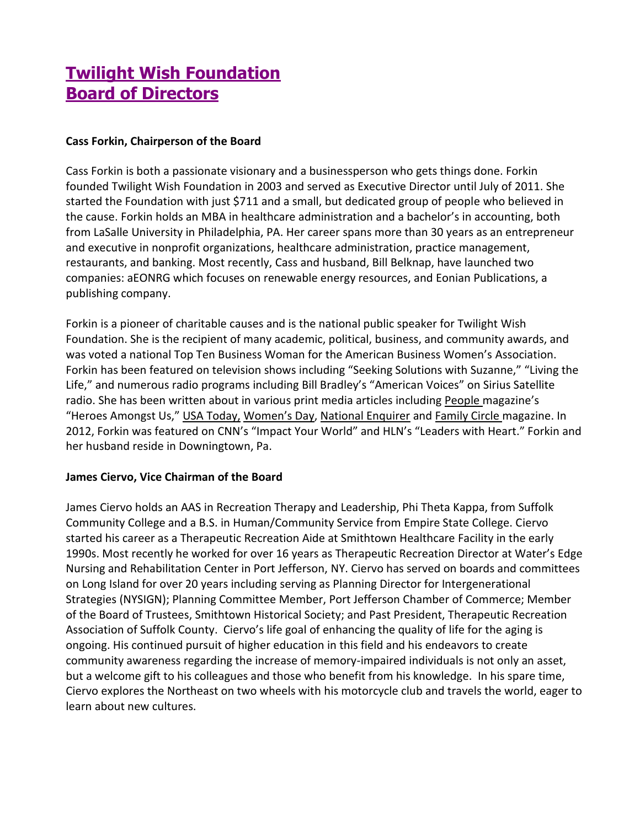# **Twilight Wish Foundation Board of Directors**

#### **Cass Forkin, Chairperson of the Board**

Cass Forkin is both a passionate visionary and a businessperson who gets things done. Forkin founded Twilight Wish Foundation in 2003 and served as Executive Director until July of 2011. She started the Foundation with just \$711 and a small, but dedicated group of people who believed in the cause. Forkin holds an MBA in healthcare administration and a bachelor's in accounting, both from LaSalle University in Philadelphia, PA. Her career spans more than 30 years as an entrepreneur and executive in nonprofit organizations, healthcare administration, practice management, restaurants, and banking. Most recently, Cass and husband, Bill Belknap, have launched two companies: aEONRG which focuses on renewable energy resources, and Eonian Publications, a publishing company.

Forkin is a pioneer of charitable causes and is the national public speaker for Twilight Wish Foundation. She is the recipient of many academic, political, business, and community awards, and was voted a national Top Ten Business Woman for the American Business Women's Association. Forkin has been featured on television shows including "Seeking Solutions with Suzanne," "Living the Life," and numerous radio programs including Bill Bradley's "American Voices" on Sirius Satellite radio. She has been written about in various print media articles including People magazine's "Heroes Amongst Us," USA Today, Women's Day, National Enquirer and Family Circle magazine. In 2012, Forkin was featured on CNN's "Impact Your World" and HLN's "Leaders with Heart." Forkin and her husband reside in Downingtown, Pa.

### **James Ciervo, Vice Chairman of the Board**

James Ciervo holds an AAS in Recreation Therapy and Leadership, Phi Theta Kappa, from Suffolk Community College and a B.S. in Human/Community Service from Empire State College. Ciervo started his career as a Therapeutic Recreation Aide at Smithtown Healthcare Facility in the early 1990s. Most recently he worked for over 16 years as Therapeutic Recreation Director at Water's Edge Nursing and Rehabilitation Center in Port Jefferson, NY. Ciervo has served on boards and committees on Long Island for over 20 years including serving as Planning Director for Intergenerational Strategies (NYSIGN); Planning Committee Member, Port Jefferson Chamber of Commerce; Member of the Board of Trustees, Smithtown Historical Society; and Past President, Therapeutic Recreation Association of Suffolk County. Ciervo's life goal of enhancing the quality of life for the aging is ongoing. His continued pursuit of higher education in this field and his endeavors to create community awareness regarding the increase of memory-impaired individuals is not only an asset, but a welcome gift to his colleagues and those who benefit from his knowledge. In his spare time, Ciervo explores the Northeast on two wheels with his motorcycle club and travels the world, eager to learn about new cultures.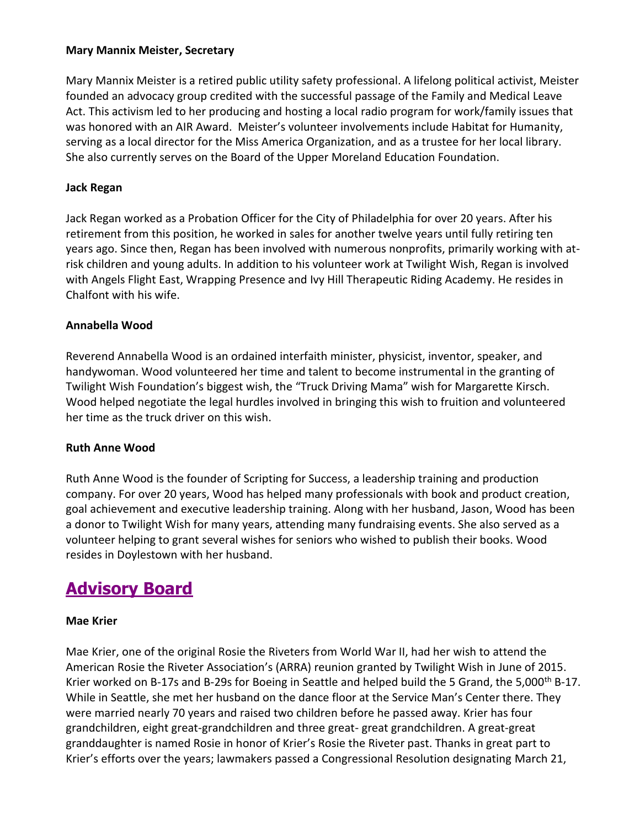#### **Mary Mannix Meister, Secretary**

Mary Mannix Meister is a retired public utility safety professional. A lifelong political activist, Meister founded an advocacy group credited with the successful passage of the Family and Medical Leave Act. This activism led to her producing and hosting a local radio program for work/family issues that was honored with an AIR Award. Meister's volunteer involvements include Habitat for Humanity, serving as a local director for the Miss America Organization, and as a trustee for her local library. She also currently serves on the Board of the Upper Moreland Education Foundation.

#### **Jack Regan**

Jack Regan worked as a Probation Officer for the City of Philadelphia for over 20 years. After his retirement from this position, he worked in sales for another twelve years until fully retiring ten years ago. Since then, Regan has been involved with numerous nonprofits, primarily working with atrisk children and young adults. In addition to his volunteer work at Twilight Wish, Regan is involved with Angels Flight East, Wrapping Presence and Ivy Hill Therapeutic Riding Academy. He resides in Chalfont with his wife.

#### **Annabella Wood**

Reverend Annabella Wood is an ordained interfaith minister, physicist, inventor, speaker, and handywoman. Wood volunteered her time and talent to become instrumental in the granting of Twilight Wish Foundation's biggest wish, the "Truck Driving Mama" wish for Margarette Kirsch. Wood helped negotiate the legal hurdles involved in bringing this wish to fruition and volunteered her time as the truck driver on this wish.

### **Ruth Anne Wood**

Ruth Anne Wood is the founder of Scripting for Success, a leadership training and production company. For over 20 years, Wood has helped many professionals with book and product creation, goal achievement and executive leadership training. Along with her husband, Jason, Wood has been a donor to Twilight Wish for many years, attending many fundraising events. She also served as a volunteer helping to grant several wishes for seniors who wished to publish their books. Wood resides in Doylestown with her husband.

# **Advisory Board**

#### **Mae Krier**

Mae Krier, one of the original Rosie the Riveters from World War II, had her wish to attend the American Rosie the Riveter Association's (ARRA) reunion granted by Twilight Wish in June of 2015. Krier worked on B-17s and B-29s for Boeing in Seattle and helped build the 5 Grand, the 5,000<sup>th</sup> B-17. While in Seattle, she met her husband on the dance floor at the Service Man's Center there. They were married nearly 70 years and raised two children before he passed away. Krier has four grandchildren, eight great-grandchildren and three great- great grandchildren. A great-great granddaughter is named Rosie in honor of Krier's Rosie the Riveter past. Thanks in great part to Krier's efforts over the years; lawmakers passed a Congressional Resolution designating March 21,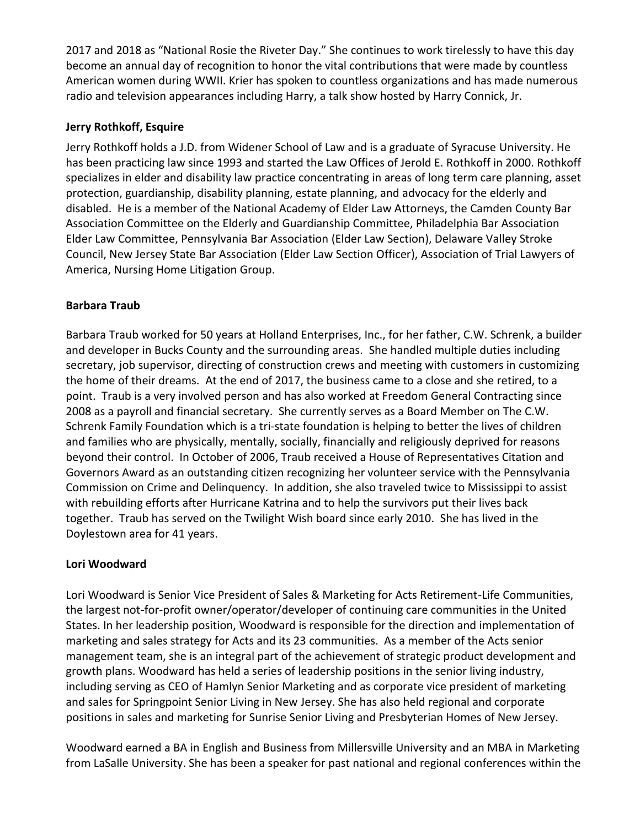2017 and 2018 as "National Rosie the Riveter Day." She continues to work tirelessly to have this day become an annual day of recognition to honor the vital contributions that were made by countless American women during WWII. Krier has spoken to countless organizations and has made numerous radio and television appearances including Harry, a talk show hosted by Harry Connick, Jr.

### **Jerry Rothkoff, Esquire**

Jerry Rothkoff holds a J.D. from Widener School of Law and is a graduate of Syracuse University. He has been practicing law since 1993 and started the Law Offices of Jerold E. Rothkoff in 2000. Rothkoff specializes in elder and disability law practice concentrating in areas of long term care planning, asset protection, guardianship, disability planning, estate planning, and advocacy for the elderly and disabled. He is a member of the National Academy of Elder Law Attorneys, the Camden County Bar Association Committee on the Elderly and Guardianship Committee, Philadelphia Bar Association Elder Law Committee, Pennsylvania Bar Association (Elder Law Section), Delaware Valley Stroke Council, New Jersey State Bar Association (Elder Law Section Officer), Association of Trial Lawyers of America, Nursing Home Litigation Group.

### **Barbara Traub**

Barbara Traub worked for 50 years at Holland Enterprises, Inc., for her father, C.W. Schrenk, a builder and developer in Bucks County and the surrounding areas. She handled multiple duties including secretary, job supervisor, directing of construction crews and meeting with customers in customizing the home of their dreams. At the end of 2017, the business came to a close and she retired, to a point. Traub is a very involved person and has also worked at Freedom General Contracting since 2008 as a payroll and financial secretary. She currently serves as a Board Member on The C.W. Schrenk Family Foundation which is a tri-state foundation is helping to better the lives of children and families who are physically, mentally, socially, financially and religiously deprived for reasons beyond their control. In October of 2006, Traub received a House of Representatives Citation and Governors Award as an outstanding citizen recognizing her volunteer service with the Pennsylvania Commission on Crime and Delinquency. In addition, she also traveled twice to Mississippi to assist with rebuilding efforts after Hurricane Katrina and to help the survivors put their lives back together. Traub has served on the Twilight Wish board since early 2010. She has lived in the Doylestown area for 41 years.

### **Lori Woodward**

Lori Woodward is Senior Vice President of Sales & Marketing for Acts Retirement-Life Communities, the largest not-for-profit owner/operator/developer of continuing care communities in the United States. In her leadership position, Woodward is responsible for the direction and implementation of marketing and sales strategy for Acts and its 23 communities. As a member of the Acts senior management team, she is an integral part of the achievement of strategic product development and growth plans. Woodward has held a series of leadership positions in the senior living industry, including serving as CEO of Hamlyn Senior Marketing and as corporate vice president of marketing and sales for Springpoint Senior Living in New Jersey. She has also held regional and corporate positions in sales and marketing for Sunrise Senior Living and Presbyterian Homes of New Jersey.

Woodward earned a BA in English and Business from Millersville University and an MBA in Marketing from LaSalle University. She has been a speaker for past national and regional conferences within the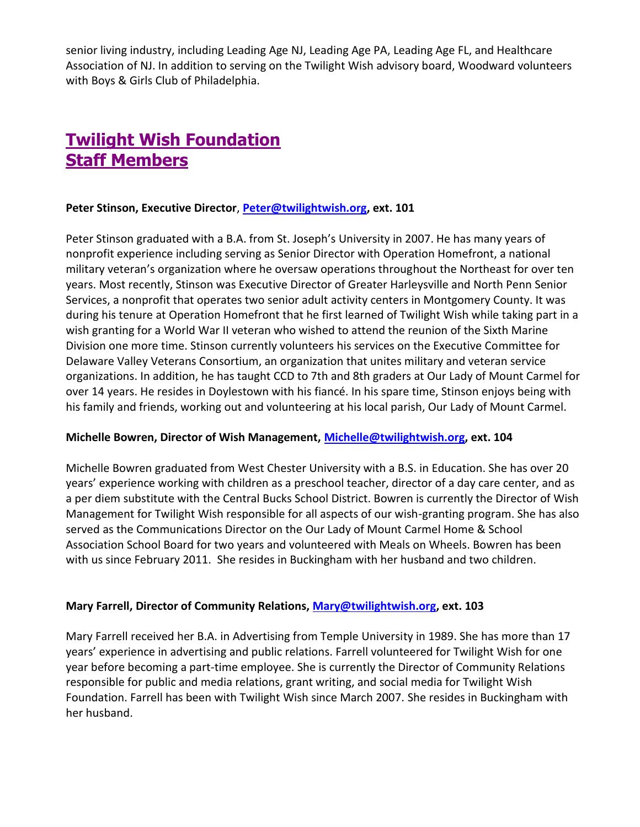senior living industry, including Leading Age NJ, Leading Age PA, Leading Age FL, and Healthcare Association of NJ. In addition to serving on the Twilight Wish advisory board, Woodward volunteers with Boys & Girls Club of Philadelphia.

# **Twilight Wish Foundation Staff Members**

#### **Peter Stinson, Executive Director**, **[Peter@twilightwish.org,](mailto:Peter@twilightwish.org) ext. 101**

Peter Stinson graduated with a B.A. from St. Joseph's University in 2007. He has many years of nonprofit experience including serving as Senior Director with Operation Homefront, a national military veteran's organization where he oversaw operations throughout the Northeast for over ten years. Most recently, Stinson was Executive Director of Greater Harleysville and North Penn Senior Services, a nonprofit that operates two senior adult activity centers in Montgomery County. It was during his tenure at Operation Homefront that he first learned of Twilight Wish while taking part in a wish granting for a World War II veteran who wished to attend the reunion of the Sixth Marine Division one more time. Stinson currently volunteers his services on the Executive Committee for Delaware Valley Veterans Consortium, an organization that unites military and veteran service organizations. In addition, he has taught CCD to 7th and 8th graders at Our Lady of Mount Carmel for over 14 years. He resides in Doylestown with his fiancé. In his spare time, Stinson enjoys being with his family and friends, working out and volunteering at his local parish, Our Lady of Mount Carmel.

#### **Michelle Bowren, Director of Wish Management, [Michelle@twilightwish.org,](mailto:Michelle@twilightwish.org) ext. 104**

Michelle Bowren graduated from West Chester University with a B.S. in Education. She has over 20 years' experience working with children as a preschool teacher, director of a day care center, and as a per diem substitute with the Central Bucks School District. Bowren is currently the Director of Wish Management for Twilight Wish responsible for all aspects of our wish-granting program. She has also served as the Communications Director on the Our Lady of Mount Carmel Home & School Association School Board for two years and volunteered with Meals on Wheels. Bowren has been with us since February 2011. She resides in Buckingham with her husband and two children.

#### **Mary Farrell, Director of Community Relations, [Mary@twilightwish.org,](mailto:Mary@twilightwish.org) ext. 103**

Mary Farrell received her B.A. in Advertising from Temple University in 1989. She has more than 17 years' experience in advertising and public relations. Farrell volunteered for Twilight Wish for one year before becoming a part-time employee. She is currently the Director of Community Relations responsible for public and media relations, grant writing, and social media for Twilight Wish Foundation. Farrell has been with Twilight Wish since March 2007. She resides in Buckingham with her husband.